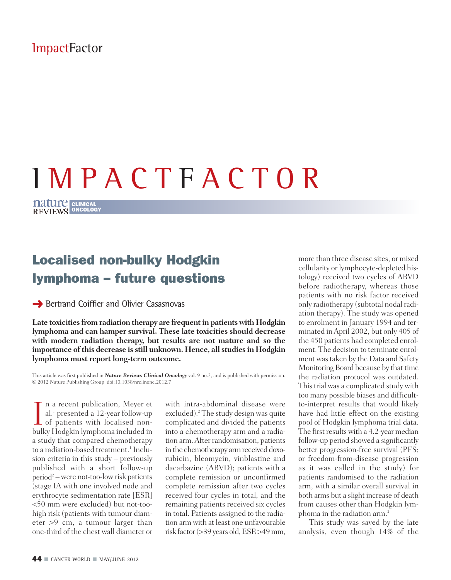# I M P A C T F A C T O R

**CLINICAL ONCOLOGY**

## **Localised non-bulky Hodgkin lymphoma – future questions**

**→ Bertrand Coiffier and Olivier Casasnovas** 

**Late toxicities from radiation therapy are frequentin patients with Hodgkin lymphoma and can hamper survival. These late toxicities should decrease with modern radiation therapy, but results are not mature and so the importance of this decrease is still unknown. Hence, all studies in Hodgkin lymphoma must report long-term outcome.**

This article was first published in *Nature Reviews Clinical Oncology* vol. 9 no.3, and is published with permission. © 2012 Nature Publishing Group. doi:10.1038/nrclinonc.2012.7

I a recent publication, Meyer et<br>al.<sup>1</sup> presented a 12-year follow-up<br>of patients with localised non-<br>bulky Hodokin lymphoma included in n a recent publication, Meyer et al. <sup>1</sup> presented a 12-year follow-up bulky Hodgkin lymphoma included in a study that compared chemotherapy to a radiation-based treatment. <sup>1</sup> Inclusion criteria in this study – previously published with a short follow-up  $period<sup>2</sup> - were not-too-low risk patients$ (stage IA with one involved node and erythrocyte sedimentation rate [ESR] <50 mm were excluded) but not-toohigh risk (patients with tumour diameter >9 cm, a tumour larger than one-third of the chest wall diameter or

with intra-abdominal disease were excluded). <sup>2</sup> The study design was quite complicated and divided the patients into a chemotherapy arm and a radiation arm.After randomisation, patients in the chemotherapy arm received doxorubicin, bleomycin, vinblastine and dacarbazine (ABVD); patients with a complete remission or unconfirmed complete remission after two cycles received four cycles in total, and the remaining patients received six cycles in total. Patients assigned to the radiation arm with at least one unfavourable risk factor(>39 years old,ESR>49mm,

more than three disease sites, or mixed cellularity or lymphocyte-depleted histology) received two cycles of ABVD before radiotherapy, whereas those patients with no risk factor received only radiotherapy (subtotal nodal radiation therapy). The study was opened to enrolment in January 1994 and terminated inApril 2002, but only 405 of the 450 patients had completed enrolment. The decision to terminate enrolment wastaken by the Data and Safety Monitoring Board because by that time the radiation protocol was outdated. This trial was a complicated study with too many possible biases and difficultto-interpret results that would likely have had little effect on the existing pool of Hodgkin lymphoma trial data. The first results with a 4.2-year median follow-up period showed a significantly better progression-free survival (PFS; or freedom-from-disease progression as it was called in the study) for patients randomised to the radiation arm, with a similar overall survival in both arms but a slight increase of death from causes other than Hodgkin lymphoma in the radiation arm. 2

This study was saved by the late analysis, even though 14% of the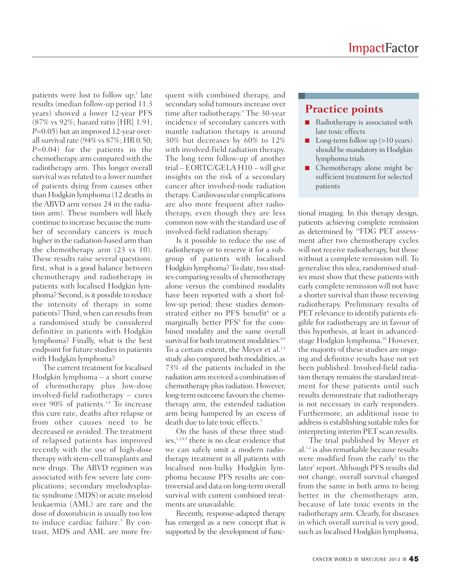patients were lost to follow up; <sup>1</sup> late results (median follow-up period 11.3 years) showed a lower 12-year PFS (87% vs 92%; hazard ratio [HR] 1.91; *P*=0.05) but an improved 12-year overallsurvival rate (94% vs 87%; HR 0.50; *P*=0.04) for the patients in the chemotherapy arm compared with the radiotherapy arm. This longer overall survival was related to a lower number of patients dying from causes other than Hodgkin lymphoma (12 deathsin the ABVD arm versus 24 in the radiation arm). These numbers will likely continue to increase because the number of secondary cancers is much higher in the radiation-based arm than the chemotherapy arm (23 vs 10). These results raise several questions: first, what is a good balance between chemotherapy and radiotherapy in patients with localised Hodgkin lymphoma? Second, is it possible to reduce the intensity of therapy in some patients? Third, when can results from a randomised study be considered definitive in patients with Hodgkin lymphoma? Finally, what is the best endpoint for future studies in patients with Hodgkin lymphoma?

The current treatment for localised Hodgkin lymphoma – a short course of chemotherapy plus low-dose involved-field radiotherapy – cures over 90% of patients. 3,4 To increase this cure rate, deaths after relapse or from other causes need to be decreased or avoided. The treatment of relapsed patients has improved recently with the use of high-dose therapy with stem-cell transplants and new drugs. The ABVD regimen was associated with few severe late complications; secondary myelodysplastic syndrome (MDS) or acute myeloid leukaemia (AML) are rare and the dose of doxorubicin is usually too low to induce cardiac failure. <sup>5</sup> By contrast, MDS and AML are more fre-

quent with combined therapy, and secondary solid tumours increase over time after radiotherapy. <sup>6</sup> The 30-year incidence of secondary cancers with mantle radiation therapy is around 30% but decreases by 60% to 12% with involved-field radiation therapy. The long term follow-up of another trial – EORTC/GELA H10 – will give insights on the risk of a secondary cancer after involved-node radiation therapy. Cardiovascular complications are also more frequent after radiotherapy, even though they are less common now with the standard use of involved-field radiation therapy. 7

Is it possible to reduce the use of radiotherapy or to reserve it for a subgroup of patients with localised Hodgkin lymphoma? To date, two studies comparing results of chemotherapy alone versus the combined modality have been reported with a short follow-up period; these studies demonstrated either no PFS benefit <sup>8</sup> or a marginally better PFS<sup>9</sup> for the combined modality and the same overall survival for both treatment modalities.<sup>8,9</sup> To a certain extent, the Meyer et al. 1,2 study also compared both modalities, as 73% of the patients included in the radiation arm received a combination of chemotherapy plus radiation. However, long-term outcome favours the chemotherapy arm, the extended radiation arm being hampered by an excess of death due to late toxic effects. 1

On the basis of these three studies, 1,2,8,9 there is no clear evidence that we can safely omit a modern radiotherapy treatment in all patients with localised non-bulky Hodgkin lymphoma because PFS results are controversial and data on long-term overall survival with current combined treatments are unavailable.

Recently, response-adapted therapy has emerged as a new concept that is supported by the development of func-

## **Practice points**

- Radiotherapy is associated with late toxic effects
- **■** Long-term follow up (>10 years) should be mandatory in Hodgkin lymphoma trials
- Chemotherapy alone might be sufficient treatment for selected patients

tional imaging. In this therapy design, patients achieving complete remission as determined by <sup>18</sup> FDG PET assessment after two chemotherapy cycles will not receive radiotherapy, but those without a complete remission will. To generalise this idea, randomised studies must show that these patients with early complete remission will not have a shorter survival than those receiving radiotherapy. Preliminary results of PET relevance to identify patients eligible for radiotherapy are in favour of this hypothesis, at least in advancedstage Hodgkin lymphoma. <sup>10</sup> However, the majority of these studies are ongoing and definitive results have not yet been published. Involved-field radiation therapy remains the standard treatment for these patients until such results demonstrate that radiotherapy is not necessary in early responders. Furthermore, an additional issue to address is establishing suitable rules for interpreting interim PET scan results.

The trial published by Meyer et al.<sup>1,2</sup> is also remarkable because results were modified from the early<sup>2</sup> to the later <sup>1</sup> report.Although PFS results did not change, overall survival changed from the same in both arms to being better in the chemotherapy arm, because of late toxic events in the radiotherapy arm. Clearly, for diseases in which overall survival is very good, such as localised Hodgkin lymphoma,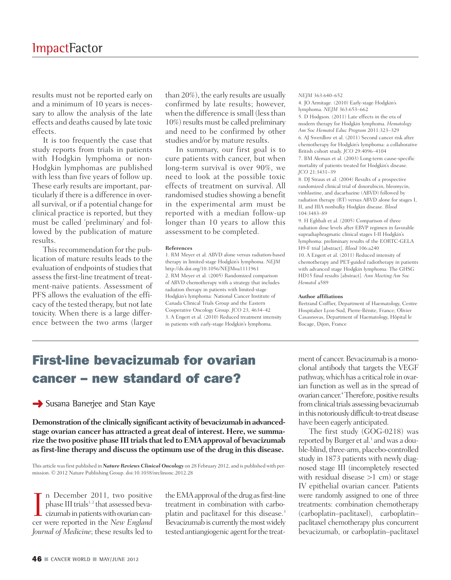results must not be reported early on and a minimum of 10 years is necessary to allow the analysis of the late effects and deaths caused by late toxic effects.

It is too frequently the case that study reports from trials in patients with Hodgkin lymphoma or non-Hodgkin lymphomas are published with less than five years of follow up. These early results are important, particularly if there is a difference in overall survival, or if a potential change for clinical practice is reported, but they must be called 'preliminary' and followed by the publication of mature results.

This recommendation for the publication of mature results leads to the evaluation of endpoints of studies that assessthe first-line treatment of treatment-naive patients. Assessment of PFS allows the evaluation of the efficacy of the tested therapy, but not late toxicity. When there is a large difference between the two arms (larger

than 20%), the early results are usually confirmed by late results; however, when the difference is small (less than 10%) results must be called preliminary and need to be confirmed by other studies and/or by mature results.

In summary, our first goal is to cure patients with cancer, but when long-term survival is over 90%, we need to look at the possible toxic effects of treatment on survival. All randomised studies showing a benefit in the experimental arm must be reported with a median follow-up longer than 10 years to allow this assessment to be completed.

### **References**

1. RM Meyer et al. ABVD alone versus radiation-based therapy in limited-stage Hodgkin's lymphoma. *NEJM* http://dx.doi.org/10.1056/NEJMoa1111961 2. RM Meyer et al. (2005) Randomized comparison of ABVD chemotherapy with a strategy that includes radiation therapy in patients with limited-stage Hodgkin's lymphoma: National Cancer Institute of Canada Clinical Trials Group and the Eastern Cooperative Oncology Group. *JCO* 23, 4634–42 3. A Engert et al. (2010) Reduced treatment intensity in patients with early-stage Hodgkin's lymphoma.

*NEJM* 363:640–652

4. JO Armitage. (2010) Early-stage Hodgkin's lymphoma. *NEJM* 363:653–662

5. D Hodgson. (2011) Late effects in the era of modern therapy for Hodgkin lymphoma. *Hematology Am Soc Hematol Educ Program* 2011:323–329 6. AJ Swerdlow et al. (2011) Second cancer risk after chemotherapy for Hodgkin's lymphoma: a collaborative British cohort study. *JCO* 29:4096–4104 7. BM Aleman et al. (2003) Long-term cause-specific

mortality of patients treated for Hodgkin's disease. *JCO* 21:3431–39

8. DJ Straus et al. (2004) Results of a prospective randomized clinical trial of doxorubicin, bleomycin, vinblastine, and dacarbazine (ABVD) followed by radiation therapy (RT) versus ABVD alone for stages I, II, and IIIA nonbulky Hodgkin disease. *Blood* 104:3483–89

9. H Eghbali et al. (2005) Comparison of three radiation dose levels after EBVP regimen in favorable supradiaphragmatic clinical stages I-II Hodgkin's lymphoma: preliminary results of the EORTC-GELA H9-F trial [abstract]. *Blood* 106:a240 10. A Engert et al. (2011) Reduced intensity of chemotherapy and PET-guided radiotherapy in patients with advanced stage Hodgkin lymphoma: The GHSG HD15 final results [abstract]. *Ann Meeting Am Soc Hematol* a589

### **Author affiliations**

Bertrand Coiffier, Department of Haematology, Centre Hospitalier Lyon-Sud, Pierre-Bénite, France; Olivier Casasnovas, Department of Haematology, Hôpital le Bocage, Dijon, France

# **First-line bevacizumab for ovarian cancer – new standard of care?**

## **→** Susana Banerjee and Stan Kaye

Demonstration of the clinically significant activity of bevacizumab in advanced**stage ovarian cancer has attracted a great deal of interest. Here, we summarize the two positive phase III trials thatled to EMAapproval of bevacizumab as first-line therapy and discuss the optimum use of the drug in this disease.**

This article wasfirst published in *Nature Reviews Clinical Oncology* on 28 February 2012, and is published with permission. © 2012 Nature Publishing Group. doi:10.1038/nrclinonc.2012.28

In December 2011, two positive<br>phase III trials<sup>1,2</sup> that assessed beva-<br>cizumab in patients with ovarian can-<br>cer were reported in the New England n December 2011, two positive phase III trials<sup>1,2</sup> that assessed bevacer were reported in the *New England Journal of Medicine*; these results led to

the EMA approval of the drug as first-line treatment in combination with carboplatin and paclitaxel for this disease. 3 Bevacizumab is currently the most widely tested antiangiogenic agent for the treatment of cancer.Bevacizumab is amonoclonal antibody that targets the VEGF pathway, which has a critical role in ovarian function as well as in the spread of ovarian cancer.<sup>4</sup> Therefore, positive results from clinical trials assessing bevacizumab in this notoriously difficult-to-treat disease have been eagerly anticipated.

The first study (GOG-0218) was reported by Burger et al. <sup>1</sup> andwas a double-blind, three-arm, placebo-controlled study in 1873 patients with newly diagnosed stage III (incompletely resected with residual disease  $>1$  cm) or stage IV epithelial ovarian cancer. Patients were randomly assigned to one of three treatments: combination chemotherapy (carboplatin–paclitaxel), carboplatin– paclitaxel chemotherapy plus concurrent bevacizumab, or carboplatin–paclitaxel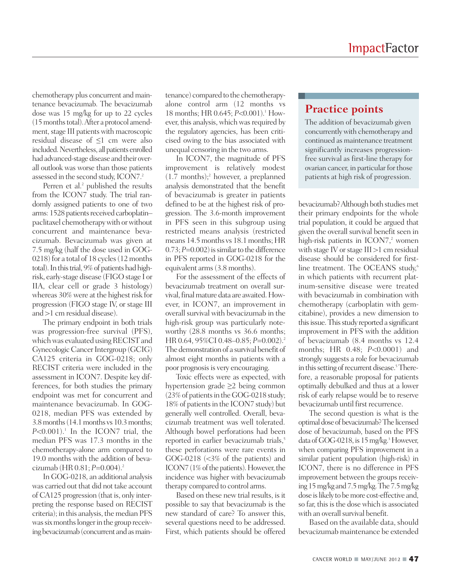chemotherapy plus concurrent and maintenance bevacizumab. The bevacizumab dose was 15 mg/kg for up to 22 cycles (15monthstotal).After a protocol amendment, stage III patients with macroscopic residual disease of ≤1 cm were also included. Nevertheless, all patients enrolled had advanced-stage disease and their overall outlook was worse than those patients assessed in the second study, ICON7. $^{\rm 2}$ 

Perren et al. <sup>2</sup> published the results from the ICON7 study. The trial randomly assigned patients to one of two arms: 1528 patients received carboplatinpaclitaxel chemotherapywith orwithout concurrent and maintenance bevacizumab. Bevacizumab was given at 7.5 mg/kg (half the dose used in GOG-0218) for a total of 18 cycles (12 months total). In this trial, 9% of patients had highrisk, early-stage disease (FIGO stage I or IIA, clear cell or grade 3 histology) whereas 30% were at the highest risk for progression (FIGO stage IV, or stage III and >1 cm residual disease).

The primary endpoint in both trials was progression-free survival (PFS), which was evaluated using RECIST and Gynecologic Cancer Intergroup (GCIG) CA125 criteria in GOG-0218; only RECIST criteria were included in the assessment in ICON7. Despite key differences, for both studies the primary endpoint was met for concurrent and maintenance bevacizumab. In GOG-0218, median PFS was extended by 3.8months(14.1months vs10.3months; *P*<0.001). <sup>1</sup> In the ICON7 trial, the median PFS was 17.3 months in the chemotherapy-alone arm compared to 19.0 months with the addition of bevacizumab (HR 0.81; *P*=0.004). 2

In GOG-0218, an additional analysis was carried out that did not take account of CA125 progression (that is, only interpreting the response based on RECIST criteria); in this analysis, the median PFS was six months longer in the group receiving bevacizumab (concurrent and as maintenance) compared to the chemotherapyalone control arm (12 months vs 18 months; HR 0.645; *P*<0.001). <sup>1</sup> However, this analysis, which was required by the regulatory agencies, has been criticised owing to the bias associated with unequal censoring in the two arms.

In ICON7, the magnitude of PFS improvement is relatively modest (1.7 months); <sup>2</sup> however, a preplanned analysis demonstrated that the benefit of bevacizumab is greater in patients defined to be at the highest risk of progression. The 3.6-month improvement in PFS seen in this subgroup using restricted means analysis (restricted means 14.5 months vs 18.1 months; HR  $(0.73; P=0.002)$  is similar to the difference in PFS reported in GOG-0218 for the equivalent arms(3.8 months).

For the assessment of the effects of bevacizumab treatment on overall survival, final mature data are awaited. However, in ICON7, an improvement in overall survival with bevacizumab in the high-risk group was particularly noteworthy (28.8 months vs 36.6 months; HR 0.64, 95%CI 0.48–0.85; *P*=0.002). 2 The demonstration of a survival benefit of almost eight months in patients with a poor prognosis is very encouraging.

Toxic effects were as expected, with hypertension grade ≥2 being common (23% of patients in the GOG-0218 study; 18% of patients in the ICON7 study) but generally well controlled. Overall, bevacizumab treatment was well tolerated. Although bowel perforations had been reported in earlier bevacizumab trials, 5 these perforations were rare events in GOG-0218 (<3% of the patients) and ICON7 (1% of the patients). However, the incidence was higher with bevacizumab therapy compared to control arms.

Based on these new trial results, is it possible to say that bevacizumab is the new standard of care? To answer this, several questions need to be addressed. First, which patients should be offered

## **Practice points**

The addition of bevacizumab given concurrently with chemotherapy and continued as maintenance treatment significantly increases progressionfree survival as first-line therapy for ovarian cancer, in particular for those patients at high risk of progression.

bevacizumab? Although both studies met their primary endpoints for the whole trial population, it could be argued that given the overall survival benefit seen in high-risk patients in ICON7, <sup>2</sup> women with stage IV or stage  $III >1$  cm residual disease should be considered for firstline treatment. The OCEANS study,<sup>6</sup> in which patients with recurrent platinum-sensitive disease were treated with bevacizumab in combination with chemotherapy (carboplatin with gemcitabine), provides a new dimension to this issue. This study reported a significant improvement in PFS with the addition of bevacizumab (8.4 months vs 12.4 months; HR 0.48; *P*<0.0001) and strongly suggests a role for bevacizumab in this setting of recurrent disease.<sup>5</sup> Therefore, a reasonable proposal for patients optimally debulked and thus at a lower risk of early relapse would be to reserve bevacizumab until first recurrence.

The second question is what is the optimal dose of bevacizumab? The licensed dose of bevacizumab, based on the PFS data of GOG-0218, is 15 mg/kg.<sup>3</sup> However, when comparing PFS improvement in a similar patient population (high-risk) in ICON7, there is no difference in PFS improvement between the groups receiving15mg/kg and7.5mg/kg.The7.5mg/kg dose is likely to be more cost-effective and, so far, this is the dose which is associated with an overall survival benefit.

Based on the available data, should bevacizumab maintenance be extended